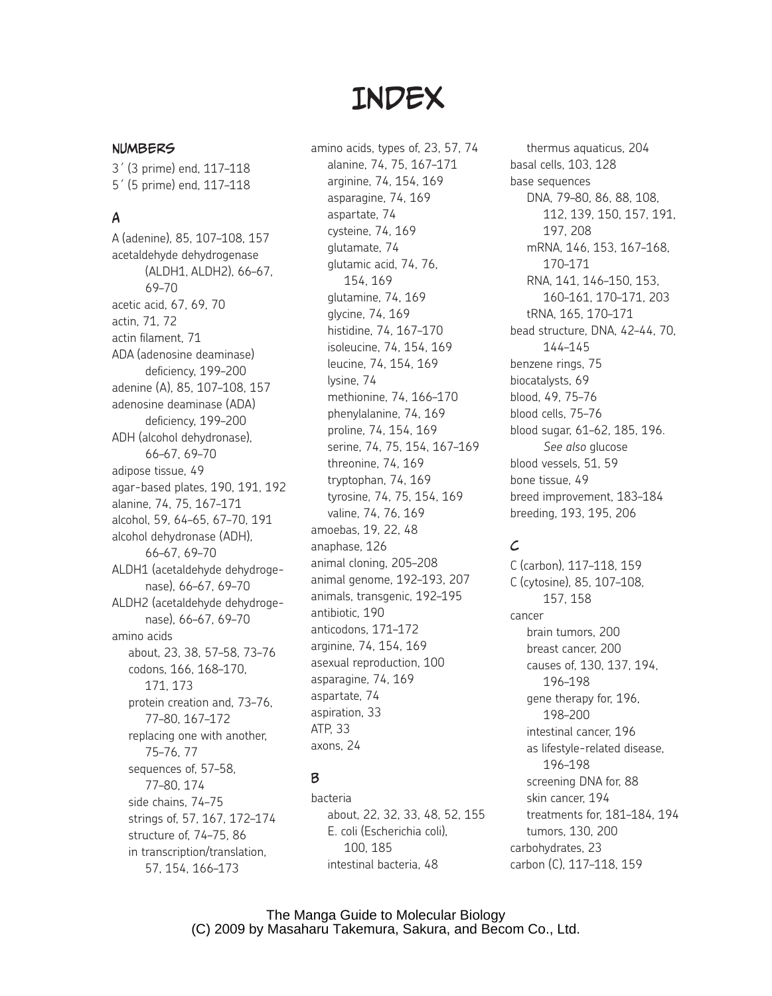# **INDEX**

#### Numbers

3´ (3 prime) end, 117–118 5´ (5 prime) end, 117–118

# A

A (adenine), 85, 107–108, 157 acetaldehyde dehydrogenase (ALDH1, ALDH2), 66–67, 69–70 acetic acid, 67, 69, 70 actin, 71, 72 actin filament, 71 ADA (adenosine deaminase) deficiency, 199–200 adenine (A), 85, 107–108, 157 adenosine deaminase (ADA) deficiency, 199–200 ADH (alcohol dehydronase), 66–67, 69–70 adipose tissue, 49 agar-based plates, 190, 191, 192 alanine, 74, 75, 167–171 alcohol, 59, 64–65, 67–70, 191 alcohol dehydronase (ADH), 66–67, 69–70 ALDH1 (acetaldehyde dehydrogenase), 66–67, 69–70 ALDH2 (acetaldehyde dehydrogenase), 66–67, 69–70 amino acids about, 23, 38, 57–58, 73–76 codons, 166, 168–170, 171, 173 protein creation and, 73–76, 77–80, 167–172 replacing one with another, 75–76, 77 sequences of, 57–58, 77–80, 174 side chains, 74–75 strings of, 57, 167, 172–174 structure of, 74–75, 86 in transcription/translation, 57, 154, 166–173

amino acids, types of, 23, 57, 74 alanine, 74, 75, 167–171 arginine, 74, 154, 169 asparagine, 74, 169 aspartate, 74 cysteine, 74, 169 glutamate, 74 glutamic acid, 74, 76, 154, 169 glutamine, 74, 169 glycine, 74, 169 histidine, 74, 167–170 isoleucine, 74, 154, 169 leucine, 74, 154, 169 lysine, 74 methionine, 74, 166–170 phenylalanine, 74, 169 proline, 74, 154, 169 serine, 74, 75, 154, 167–169 threonine, 74, 169 tryptophan, 74, 169 tyrosine, 74, 75, 154, 169 valine, 74, 76, 169 amoebas, 19, 22, 48 anaphase, 126 animal cloning, 205–208 animal genome, 192–193, 207 animals, transgenic, 192–195 antibiotic, 190 anticodons, 171–172 arginine, 74, 154, 169 asexual reproduction, 100 asparagine, 74, 169 aspartate, 74 aspiration, 33 ATP, 33 axons, 24

# B

bacteria about, 22, 32, 33, 48, 52, 155 E. coli (Escherichia coli), 100, 185 intestinal bacteria, 48

thermus aquaticus, 204 basal cells, 103, 128 base sequences DNA, 79–80, 86, 88, 108, 112, 139, 150, 157, 191, 197, 208 mRNA, 146, 153, 167–168, 170–171 RNA, 141, 146–150, 153, 160–161, 170–171, 203 tRNA, 165, 170–171 bead structure, DNA, 42–44, 70, 144–145 benzene rings, 75 biocatalysts, 69 blood, 49, 75–76 blood cells, 75–76 blood sugar, 61–62, 185, 196. *See also* glucose blood vessels, 51, 59 bone tissue, 49 breed improvement, 183–184 breeding, 193, 195, 206

## $\mathcal{L}$

C (carbon), 117–118, 159 C (cytosine), 85, 107–108, 157, 158 cancer brain tumors, 200 breast cancer, 200 causes of, 130, 137, 194, 196–198 gene therapy for, 196, 198–200 intestinal cancer, 196 as lifestyle-related disease, 196–198 screening DNA for, 88 skin cancer, 194 treatments for, 181–184, 194 tumors, 130, 200 carbohydrates, 23 carbon (C), 117–118, 159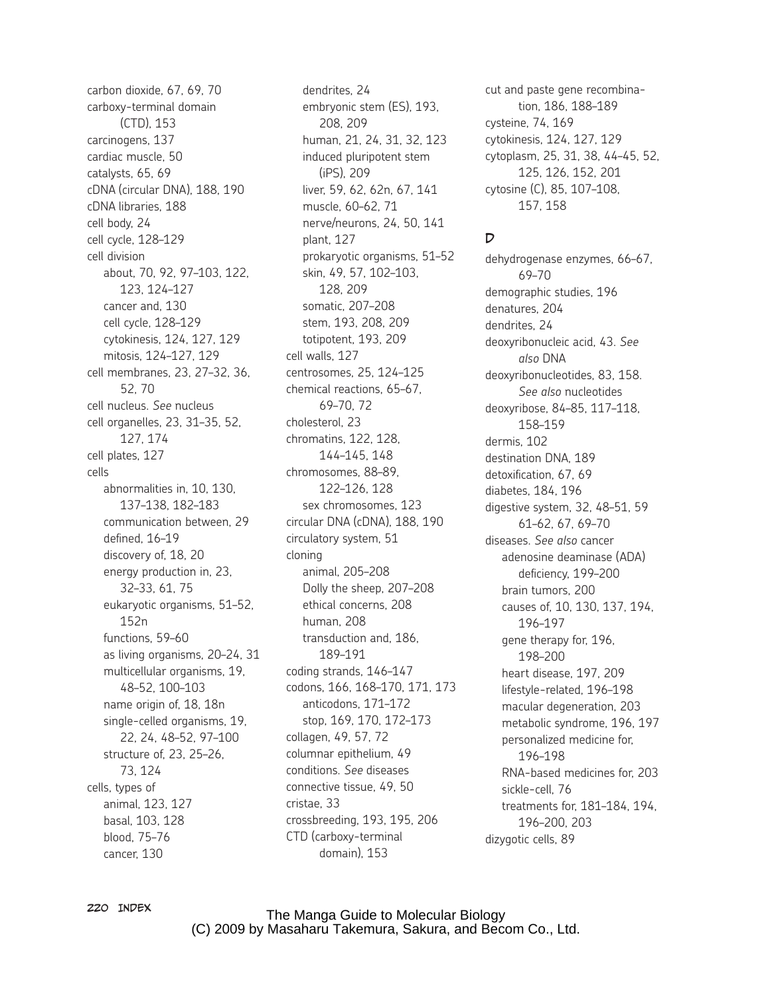carbon dioxide, 67, 69, 70 carboxy-terminal domain (CTD), 153 carcinogens, 137 cardiac muscle, 50 catalysts, 65, 69 cDNA (circular DNA), 188, 190 cDNA libraries, 188 cell body, 24 cell cycle, 128–129 cell division about, 70, 92, 97–103, 122, 123, 124–127 cancer and, 130 cell cycle, 128–129 cytokinesis, 124, 127, 129 mitosis, 124–127, 129 cell membranes, 23, 27–32, 36, 52, 70 cell nucleus. *See* nucleus cell organelles, 23, 31–35, 52, 127, 174 cell plates, 127 cells abnormalities in, 10, 130, 137–138, 182–183 communication between, 29 defined, 16–19 discovery of, 18, 20 energy production in, 23, 32–33, 61, 75 eukaryotic organisms, 51–52, 152n functions, 59–60 as living organisms, 20–24, 31 multicellular organisms, 19, 48–52, 100–103 name origin of, 18, 18n single-celled organisms, 19, 22, 24, 48–52, 97–100 structure of, 23, 25–26, 73, 124 cells, types of animal, 123, 127 basal, 103, 128 blood, 75–76 cancer, 130

dendrites, 24 embryonic stem (ES), 193, 208, 209 human, 21, 24, 31, 32, 123 induced pluripotent stem (iPS), 209 liver, 59, 62, 62n, 67, 141 muscle, 60–62, 71 nerve/neurons, 24, 50, 141 plant, 127 prokaryotic organisms, 51–52 skin, 49, 57, 102–103, 128, 209 somatic, 207–208 stem, 193, 208, 209 totipotent, 193, 209 cell walls, 127 centrosomes, 25, 124–125 chemical reactions, 65–67, 69–70, 72 cholesterol, 23 chromatins, 122, 128, 144–145, 148 chromosomes, 88–89, 122–126, 128 sex chromosomes, 123 circular DNA (cDNA), 188, 190 circulatory system, 51 cloning animal, 205–208 Dolly the sheep, 207–208 ethical concerns, 208 human, 208 transduction and, 186, 189–191 coding strands, 146–147 codons, 166, 168–170, 171, 173 anticodons, 171–172 stop, 169, 170, 172–173 collagen, 49, 57, 72 columnar epithelium, 49 conditions. *See* diseases connective tissue, 49, 50 cristae, 33 crossbreeding, 193, 195, 206 CTD (carboxy-terminal domain), 153

cut and paste gene recombination, 186, 188–189 cysteine, 74, 169 cytokinesis, 124, 127, 129 cytoplasm, 25, 31, 38, 44–45, 52, 125, 126, 152, 201 cytosine (C), 85, 107–108, 157, 158

#### $\overline{D}$

dehydrogenase enzymes, 66–67, 69–70 demographic studies, 196 denatures, 204 dendrites, 24 deoxyribonucleic acid, 43. *See also* DNA deoxyribonucleotides, 83, 158. *See also* nucleotides deoxyribose, 84–85, 117–118, 158–159 dermis, 102 destination DNA, 189 detoxification, 67, 69 diabetes, 184, 196 digestive system, 32, 48–51, 59 61–62, 67, 69–70 diseases. *See also* cancer adenosine deaminase (ADA) deficiency, 199–200 brain tumors, 200 causes of, 10, 130, 137, 194, 196–197 gene therapy for, 196, 198–200 heart disease, 197, 209 lifestyle-related, 196–198 macular degeneration, 203 metabolic syndrome, 196, 197 personalized medicine for, 196–198 RNA-based medicines for, 203 sickle-cell, 76 treatments for, 181–184, 194, 196–200, 203 dizygotic cells, 89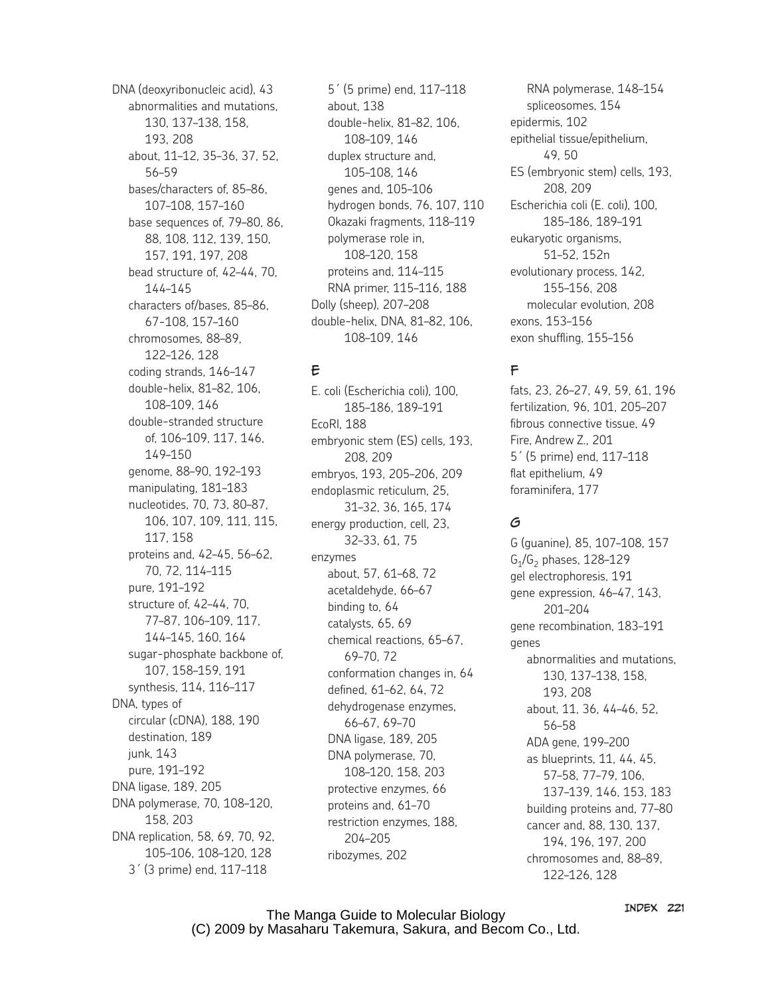DNA (deoxyribonucleic acid), 43 abnormalities and mutations, 130, 137–138, 158, 193, 208 about, 11–12, 35–36, 37, 52, 56–59 bases/characters of, 85–86, 107–108, 157–160 base sequences of, 79–80, 86, 88, 108, 112, 139, 150, 157, 191, 197, 208 bead structure of, 42–44, 70, 144–145 characters of/bases, 85–86, 67-108, 157–160 chromosomes, 88–89, 122–126, 128 coding strands, 146–147 double-helix, 81–82, 106, 108–109, 146 double-stranded structure of, 106–109, 117, 146, 149–150 genome, 88–90, 192–193 manipulating, 181–183 nucleotides, 70, 73, 80–87, 106, 107, 109, 111, 115, 117, 158 proteins and, 42–45, 56–62, 70, 72, 114–115 pure, 191–192 structure of, 42–44, 70, 77–87, 106–109, 117, 144–145, 160, 164 sugar-phosphate backbone of, 107, 158–159, 191 synthesis, 114, 116–117 DNA, types of circular (cDNA), 188, 190 destination, 189 junk, 143 pure, 191–192 DNA ligase, 189, 205 DNA polymerase, 70, 108–120, 158, 203 DNA replication, 58, 69, 70, 92, 105–106, 108–120, 128 3´ (3 prime) end, 117–118

5´ (5 prime) end, 117–118 about, 138 double-helix, 81–82, 106, 108–109, 146 duplex structure and, 105–108, 146 genes and, 105–106 hydrogen bonds, 76, 107, 110 Okazaki fragments, 118–119 polymerase role in, 108–120, 158 proteins and, 114–115 RNA primer, 115–116, 188 Dolly (sheep), 207–208 double-helix, DNA, 81–82, 106, 108–109, 146

## E

E. coli (Escherichia coli), 100, 185–186, 189–191 EcoRI, 188 embryonic stem (ES) cells, 193, 208, 209 embryos, 193, 205–206, 209 endoplasmic reticulum, 25, 31–32, 36, 165, 174 energy production, cell, 23, 32–33, 61, 75 enzymes about, 57, 61–68, 72 acetaldehyde, 66–67 binding to, 64 catalysts, 65, 69 chemical reactions, 65–67, 69–70, 72 conformation changes in, 64 defined, 61–62, 64, 72 dehydrogenase enzymes, 66–67, 69–70 DNA ligase, 189, 205 DNA polymerase, 70, 108–120, 158, 203 protective enzymes, 66 proteins and, 61–70 restriction enzymes, 188, 204–205 ribozymes, 202

RNA polymerase, 148–154 spliceosomes, 154 epidermis, 102 epithelial tissue/epithelium, 49, 50 ES (embryonic stem) cells, 193, 208, 209 Escherichia coli (E. coli), 100, 185–186, 189–191 eukaryotic organisms, 51–52, 152n evolutionary process, 142, 155–156, 208 molecular evolution, 208 exons, 153–156 exon shuffling, 155–156

# F

fats, 23, 26–27, 49, 59, 61, 196 fertilization, 96, 101, 205–207 fibrous connective tissue, 49 Fire, Andrew Z., 201 5´ (5 prime) end, 117–118 flat epithelium, 49 foraminifera, 177

# G

G (guanine), 85, 107–108, 157  $G_1/G_2$  phases, 128-129 gel electrophoresis, 191 gene expression, 46–47, 143, 201–204 gene recombination, 183–191 genes abnormalities and mutations, 130, 137–138, 158, 193, 208 about, 11, 36, 44–46, 52, 56–58 ADA gene, 199–200 as blueprints, 11, 44, 45, 57–58, 77–79, 106, 137–139, 146, 153, 183 building proteins and, 77–80 cancer and, 88, 130, 137, 194, 196, 197, 200 chromosomes and, 88–89, 122–126, 128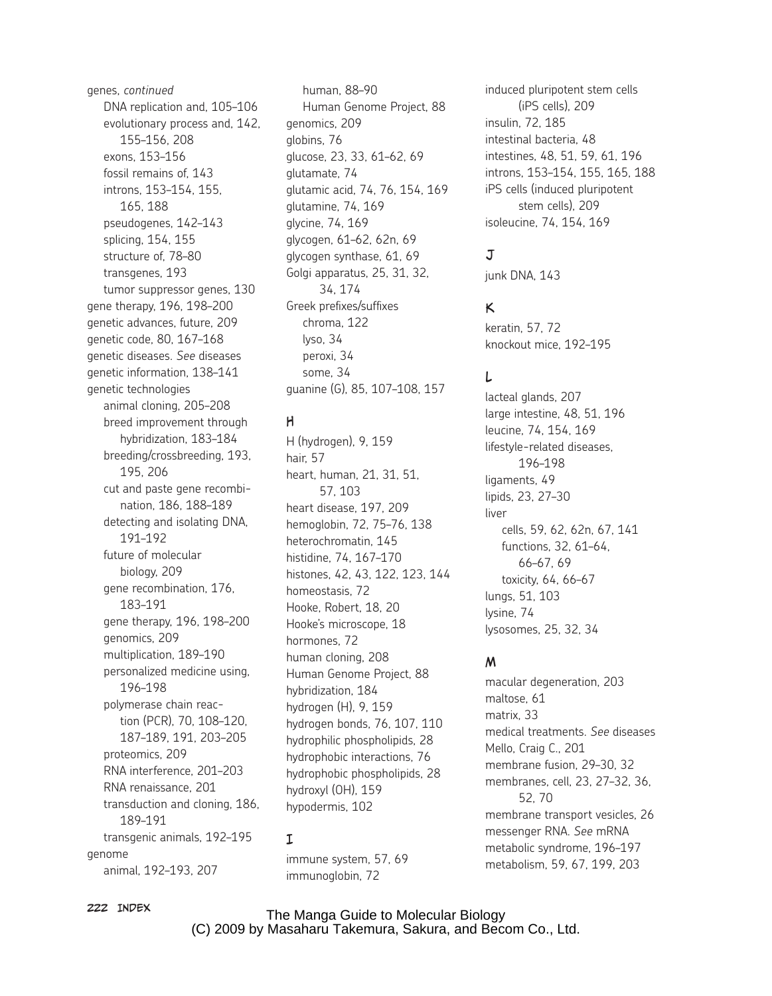genes, *continued* DNA replication and, 105–106 evolutionary process and, 142, 155–156, 208 exons, 153–156 fossil remains of, 143 introns, 153–154, 155, 165, 188 pseudogenes, 142–143 splicing, 154, 155 structure of, 78–80 transgenes, 193 tumor suppressor genes, 130 gene therapy, 196, 198–200 genetic advances, future, 209 genetic code, 80, 167–168 genetic diseases. *See* diseases genetic information, 138–141 genetic technologies animal cloning, 205–208 breed improvement through hybridization, 183–184 breeding/crossbreeding, 193, 195, 206 cut and paste gene recombination, 186, 188–189 detecting and isolating DNA, 191–192 future of molecular biology, 209 gene recombination, 176, 183–191 gene therapy, 196, 198–200 genomics, 209 multiplication, 189–190 personalized medicine using, 196–198 polymerase chain reaction (PCR), 70, 108–120, 187–189, 191, 203–205 proteomics, 209 RNA interference, 201–203 RNA renaissance, 201 transduction and cloning, 186, 189–191 transgenic animals, 192–195 genome animal, 192–193, 207

human, 88–90 Human Genome Project, 88 genomics, 209 globins, 76 glucose, 23, 33, 61–62, 69 glutamate, 74 glutamic acid, 74, 76, 154, 169 glutamine, 74, 169 glycine, 74, 169 glycogen, 61–62, 62n, 69 glycogen synthase, 61, 69 Golgi apparatus, 25, 31, 32, 34, 174 Greek prefixes/suffixes chroma, 122 lyso, 34 peroxi, 34 some, 34 guanine (G), 85, 107–108, 157

#### H

H (hydrogen), 9, 159 hair, 57 heart, human, 21, 31, 51, 57, 103 heart disease, 197, 209 hemoglobin, 72, 75–76, 138 heterochromatin, 145 histidine, 74, 167–170 histones, 42, 43, 122, 123, 144 homeostasis, 72 Hooke, Robert, 18, 20 Hooke's microscope, 18 hormones, 72 human cloning, 208 Human Genome Project, 88 hybridization, 184 hydrogen (H), 9, 159 hydrogen bonds, 76, 107, 110 hydrophilic phospholipids, 28 hydrophobic interactions, 76 hydrophobic phospholipids, 28 hydroxyl (OH), 159 hypodermis, 102

#### I

immune system, 57, 69 immunoglobin, 72

induced pluripotent stem cells (iPS cells), 209 insulin, 72, 185 intestinal bacteria, 48 intestines, 48, 51, 59, 61, 196 introns, 153–154, 155, 165, 188 iPS cells (induced pluripotent stem cells), 209 isoleucine, 74, 154, 169

# $J$

junk DNA, 143

## K

keratin, 57, 72 knockout mice, 192–195

## L

lacteal glands, 207 large intestine, 48, 51, 196 leucine, 74, 154, 169 lifestyle-related diseases, 196–198 ligaments, 49 lipids, 23, 27–30 liver cells, 59, 62, 62n, 67, 141 functions, 32, 61–64, 66–67, 69 toxicity, 64, 66–67 lungs, 51, 103 lysine, 74 lysosomes, 25, 32, 34

## M

macular degeneration, 203 maltose, 61 matrix, 33 medical treatments. *See* diseases Mello, Craig C., 201 membrane fusion, 29–30, 32 membranes, cell, 23, 27–32, 36, 52, 70 membrane transport vesicles, 26 messenger RNA. *See* mRNA metabolic syndrome, 196–197 metabolism, 59, 67, 199, 203

#### 222 Index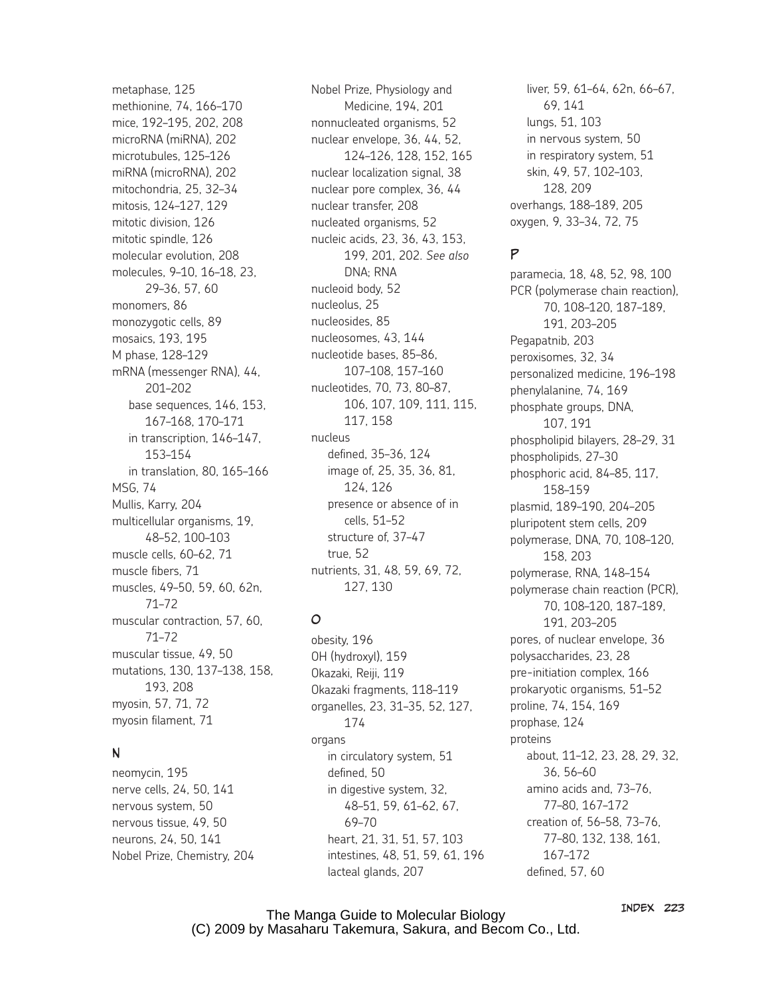metaphase, 125 methionine, 74, 166–170 mice, 192–195, 202, 208 microRNA (miRNA), 202 microtubules, 125–126 miRNA (microRNA), 202 mitochondria, 25, 32–34 mitosis, 124–127, 129 mitotic division, 126 mitotic spindle, 126 molecular evolution, 208 molecules, 9–10, 16–18, 23, 29–36, 57, 60 monomers, 86 monozygotic cells, 89 mosaics, 193, 195 M phase, 128–129 mRNA (messenger RNA), 44, 201–202 base sequences, 146, 153, 167–168, 170–171 in transcription, 146–147, 153–154 in translation, 80, 165–166 MSG, 74 Mullis, Karry, 204 multicellular organisms, 19, 48–52, 100–103 muscle cells, 60–62, 71 muscle fibers, 71 muscles, 49–50, 59, 60, 62n, 71–72 muscular contraction, 57, 60, 71–72 muscular tissue, 49, 50 mutations, 130, 137–138, 158, 193, 208 myosin, 57, 71, 72 myosin filament, 71

## N

neomycin, 195 nerve cells, 24, 50, 141 nervous system, 50 nervous tissue, 49, 50 neurons, 24, 50, 141 Nobel Prize, Chemistry, 204 Nobel Prize, Physiology and Medicine, 194, 201 nonnucleated organisms, 52 nuclear envelope, 36, 44, 52, 124–126, 128, 152, 165 nuclear localization signal, 38 nuclear pore complex, 36, 44 nuclear transfer, 208 nucleated organisms, 52 nucleic acids, 23, 36, 43, 153, 199, 201, 202. *See also* DNA; RNA nucleoid body, 52 nucleolus, 25 nucleosides, 85 nucleosomes, 43, 144 nucleotide bases, 85–86, 107–108, 157–160 nucleotides, 70, 73, 80–87, 106, 107, 109, 111, 115, 117, 158 nucleus defined, 35–36, 124 image of, 25, 35, 36, 81, 124, 126 presence or absence of in cells, 51–52 structure of, 37–47 true, 52 nutrients, 31, 48, 59, 69, 72, 127, 130

# O

obesity, 196 OH (hydroxyl), 159 Okazaki, Reiji, 119 Okazaki fragments, 118–119 organelles, 23, 31–35, 52, 127, 174 organs in circulatory system, 51 defined, 50 in digestive system, 32, 48–51, 59, 61–62, 67, 69–70 heart, 21, 31, 51, 57, 103 intestines, 48, 51, 59, 61, 196 lacteal glands, 207

liver, 59, 61–64, 62n, 66–67, 69, 141 lungs, 51, 103 in nervous system, 50 in respiratory system, 51 skin, 49, 57, 102–103, 128, 209 overhangs, 188–189, 205 oxygen, 9, 33–34, 72, 75

## P

paramecia, 18, 48, 52, 98, 100 PCR (polymerase chain reaction), 70, 108–120, 187–189, 191, 203–205 Pegapatnib, 203 peroxisomes, 32, 34 personalized medicine, 196–198 phenylalanine, 74, 169 phosphate groups, DNA, 107, 191 phospholipid bilayers, 28–29, 31 phospholipids, 27–30 phosphoric acid, 84–85, 117, 158–159 plasmid, 189–190, 204–205 pluripotent stem cells, 209 polymerase, DNA, 70, 108–120, 158, 203 polymerase, RNA, 148–154 polymerase chain reaction (PCR), 70, 108–120, 187–189, 191, 203–205 pores, of nuclear envelope, 36 polysaccharides, 23, 28 pre-initiation complex, 166 prokaryotic organisms, 51–52 proline, 74, 154, 169 prophase, 124 proteins about, 11–12, 23, 28, 29, 32, 36, 56–60 amino acids and, 73–76, 77–80, 167–172 creation of, 56–58, 73–76, 77–80, 132, 138, 161, 167–172 defined, 57, 60

The Manga Guide to Molecular Biology (C) 2009 by Masaharu Takemura, Sakura, and Becom Co., Ltd. Index 223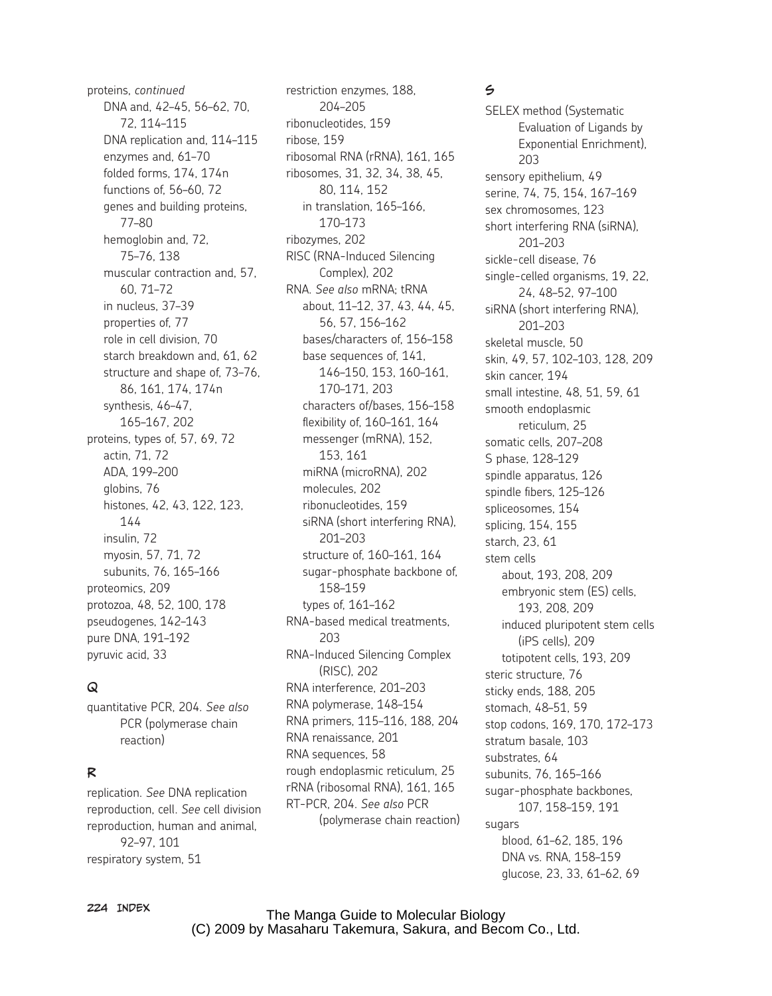proteins, *continued* DNA and, 42–45, 56–62, 70, 72, 114–115 DNA replication and, 114–115 enzymes and, 61–70 folded forms, 174, 174n functions of, 56–60, 72 genes and building proteins, 77–80 hemoglobin and, 72, 75–76, 138 muscular contraction and, 57, 60, 71–72 in nucleus, 37–39 properties of, 77 role in cell division, 70 starch breakdown and, 61, 62 structure and shape of, 73–76, 86, 161, 174, 174n synthesis, 46–47, 165–167, 202 proteins, types of, 57, 69, 72 actin, 71, 72 ADA, 199–200 globins, 76 histones, 42, 43, 122, 123, 144 insulin, 72 myosin, 57, 71, 72 subunits, 76, 165–166 proteomics, 209 protozoa, 48, 52, 100, 178 pseudogenes, 142–143 pure DNA, 191–192 pyruvic acid, 33

#### $\Omega$

quantitative PCR, 204. *See also* PCR (polymerase chain reaction)

## R

replication. *See* DNA replication reproduction, cell. *See* cell division reproduction, human and animal, 92–97, 101 respiratory system, 51

restriction enzymes, 188, 204–205 ribonucleotides, 159 ribose, 159 ribosomal RNA (rRNA), 161, 165 ribosomes, 31, 32, 34, 38, 45, 80, 114, 152 in translation, 165–166, 170–173 ribozymes, 202 RISC (RNA-Induced Silencing Complex), 202 RNA. *See also* mRNA; tRNA about, 11–12, 37, 43, 44, 45, 56, 57, 156–162 bases/characters of, 156–158 base sequences of, 141, 146–150, 153, 160–161, 170–171, 203 characters of/bases, 156–158 flexibility of, 160–161, 164 messenger (mRNA), 152, 153, 161 miRNA (microRNA), 202 molecules, 202 ribonucleotides, 159 siRNA (short interfering RNA), 201–203 structure of, 160–161, 164 sugar-phosphate backbone of, 158–159 types of, 161–162 RNA-based medical treatments, 203 RNA-Induced Silencing Complex (RISC), 202 RNA interference, 201–203 RNA polymerase, 148–154 RNA primers, 115–116, 188, 204 RNA renaissance, 201 RNA sequences, 58 rough endoplasmic reticulum, 25 rRNA (ribosomal RNA), 161, 165 RT-PCR, 204. *See also* PCR (polymerase chain reaction)

#### $\leq$

SELEX method (Systematic Evaluation of Ligands by Exponential Enrichment), 203 sensory epithelium, 49 serine, 74, 75, 154, 167–169 sex chromosomes, 123 short interfering RNA (siRNA), 201–203 sickle-cell disease, 76 single-celled organisms, 19, 22, 24, 48–52, 97–100 siRNA (short interfering RNA), 201–203 skeletal muscle, 50 skin, 49, 57, 102–103, 128, 209 skin cancer, 194 small intestine, 48, 51, 59, 61 smooth endoplasmic reticulum, 25 somatic cells, 207–208 S phase, 128–129 spindle apparatus, 126 spindle fibers, 125–126 spliceosomes, 154 splicing, 154, 155 starch, 23, 61 stem cells about, 193, 208, 209 embryonic stem (ES) cells, 193, 208, 209 induced pluripotent stem cells (iPS cells), 209 totipotent cells, 193, 209 steric structure, 76 sticky ends, 188, 205 stomach, 48–51, 59 stop codons, 169, 170, 172–173 stratum basale, 103 substrates, 64 subunits, 76, 165–166 sugar-phosphate backbones, 107, 158–159, 191 sugars blood, 61–62, 185, 196 DNA vs. RNA, 158–159 glucose, 23, 33, 61–62, 69

224 Index